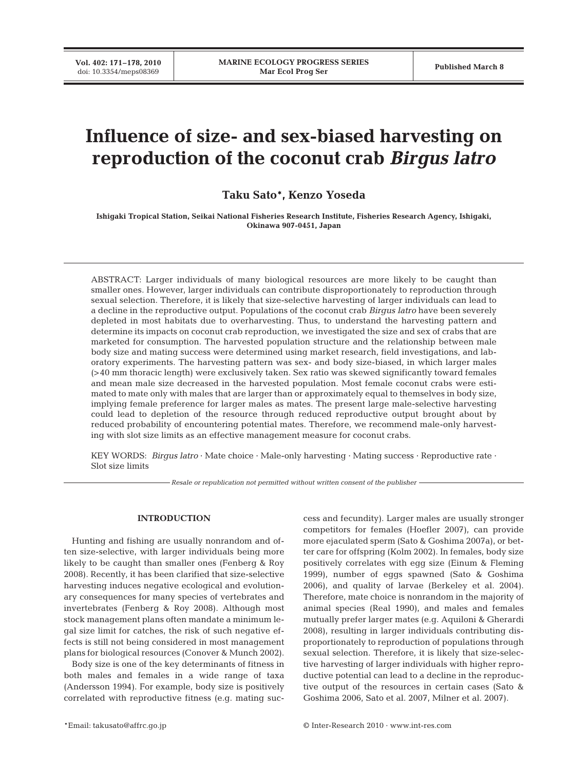# **Influence of size- and sex-biased harvesting on reproduction of the coconut crab** *Birgus latro*

**Taku Sato\*, Kenzo Yoseda**

**Ishigaki Tropical Station, Seikai National Fisheries Research Institute, Fisheries Research Agency, Ishigaki, Okinawa 907-0451, Japan**

ABSTRACT: Larger individuals of many biological resources are more likely to be caught than smaller ones. However, larger individuals can contribute disproportionately to reproduction through sexual selection. Therefore, it is likely that size-selective harvesting of larger individuals can lead to a decline in the reproductive output. Populations of the coconut crab *Birgus latro* have been severely depleted in most habitats due to overharvesting. Thus, to understand the harvesting pattern and determine its impacts on coconut crab reproduction, we investigated the size and sex of crabs that are marketed for consumption. The harvested population structure and the relationship between male body size and mating success were determined using market research, field investigations, and laboratory experiments. The harvesting pattern was sex- and body size-biased, in which larger males (>40 mm thoracic length) were exclusively taken. Sex ratio was skewed significantly toward females and mean male size decreased in the harvested population. Most female coconut crabs were estimated to mate only with males that are larger than or approximately equal to themselves in body size, implying female preference for larger males as mates. The present large male-selective harvesting could lead to depletion of the resource through reduced reproductive output brought about by reduced probability of encountering potential mates. Therefore, we recommend male-only harvesting with slot size limits as an effective management measure for coconut crabs.

KEY WORDS: *Birgus latro* · Mate choice · Male-only harvesting · Mating success · Reproductive rate · Slot size limits

*Resale or republication not permitted without written consent of the publisher*

# **INTRODUCTION**

Hunting and fishing are usually nonrandom and often size-selective, with larger individuals being more likely to be caught than smaller ones (Fenberg & Roy 2008). Recently, it has been clarified that size-selective harvesting induces negative ecological and evolutionary consequences for many species of vertebrates and invertebrates (Fenberg & Roy 2008). Although most stock management plans often mandate a minimum legal size limit for catches, the risk of such negative effects is still not being considered in most management plans for biological resources (Conover & Munch 2002).

Body size is one of the key determinants of fitness in both males and females in a wide range of taxa (Andersson 1994). For example, body size is positively correlated with reproductive fitness (e.g. mating success and fecundity). Larger males are usually stronger competitors for females (Hoefler 2007), can provide more ejaculated sperm (Sato & Goshima 2007a), or better care for offspring (Kolm 2002). In females, body size positively correlates with egg size (Einum & Fleming 1999), number of eggs spawned (Sato & Goshima 2006), and quality of larvae (Berkeley et al. 2004). Therefore, mate choice is nonrandom in the majority of animal species (Real 1990), and males and females mutually prefer larger mates (e.g. Aquiloni & Gherardi 2008), resulting in larger individuals contributing disproportionately to reproduction of populations through sexual selection. Therefore, it is likely that size-selective harvesting of larger individuals with higher reproductive potential can lead to a decline in the reproductive output of the resources in certain cases (Sato & Goshima 2006, Sato et al. 2007, Milner et al. 2007).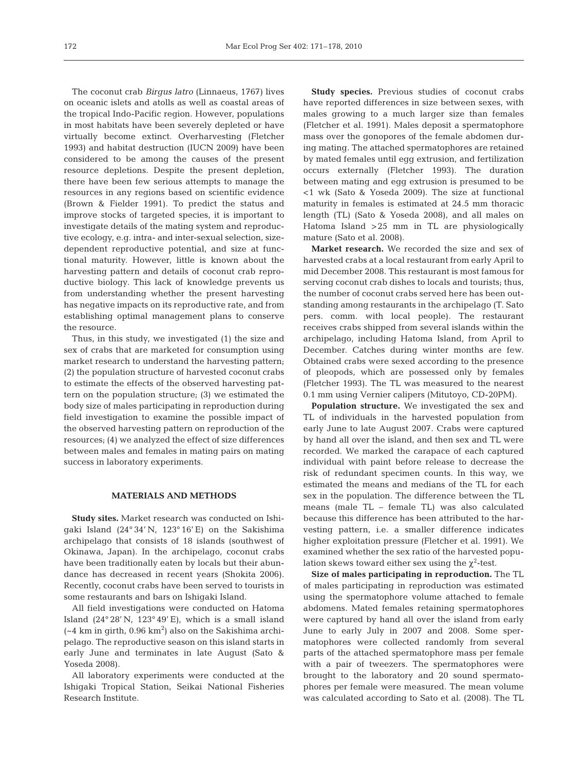The coconut crab *Birgus latro* (Linnaeus, 1767) lives on oceanic islets and atolls as well as coastal areas of the tropical Indo-Pacific region. However, populations in most habitats have been severely depleted or have virtually become extinct. Overharvesting (Fletcher 1993) and habitat destruction (IUCN 2009) have been considered to be among the causes of the present resource depletions. Despite the present depletion, there have been few serious attempts to manage the resources in any regions based on scientific evidence (Brown & Fielder 1991). To predict the status and improve stocks of targeted species, it is important to investigate details of the mating system and reproductive ecology, e.g. intra- and inter-sexual selection, sizedependent reproductive potential, and size at functional maturity. However, little is known about the harvesting pattern and details of coconut crab reproductive biology. This lack of knowledge prevents us from understanding whether the present harvesting has negative impacts on its reproductive rate, and from establishing optimal management plans to conserve the resource.

Thus, in this study, we investigated (1) the size and sex of crabs that are marketed for consumption using market research to understand the harvesting pattern; (2) the population structure of harvested coconut crabs to estimate the effects of the observed harvesting pattern on the population structure; (3) we estimated the body size of males participating in reproduction during field investigation to examine the possible impact of the observed harvesting pattern on reproduction of the resources; (4) we analyzed the effect of size differences between males and females in mating pairs on mating success in laboratory experiments.

# **MATERIALS AND METHODS**

**Study sites.** Market research was conducted on Ishigaki Island (24° 34' N, 123° 16' E) on the Sakishima archipelago that consists of 18 islands (southwest of Okinawa, Japan). In the archipelago, coconut crabs have been traditionally eaten by locals but their abundance has decreased in recent years (Shokita 2006). Recently, coconut crabs have been served to tourists in some restaurants and bars on Ishigaki Island.

All field investigations were conducted on Hatoma Island (24° 28' N, 123° 49' E), which is a small island  $({\sim}4\;{\rm km}$  in girth, 0.96 km<sup>2</sup>) also on the Sakishima archipelago. The reproductive season on this island starts in early June and terminates in late August (Sato & Yoseda 2008).

All laboratory experiments were conducted at the Ishigaki Tropical Station, Seikai National Fisheries Research Institute.

**Study species.** Previous studies of coconut crabs have reported differences in size between sexes, with males growing to a much larger size than females (Fletcher et al. 1991). Males deposit a spermatophore mass over the gonopores of the female abdomen during mating. The attached spermatophores are retained by mated females until egg extrusion, and fertilization occurs externally (Fletcher 1993). The duration between mating and egg extrusion is presumed to be <1 wk (Sato & Yoseda 2009). The size at functional maturity in females is estimated at 24.5 mm thoracic length (TL) (Sato & Yoseda 2008), and all males on Hatoma Island >25 mm in TL are physiologically mature (Sato et al. 2008).

**Market research.** We recorded the size and sex of harvested crabs at a local restaurant from early April to mid December 2008. This restaurant is most famous for serving coconut crab dishes to locals and tourists; thus, the number of coconut crabs served here has been outstanding among restaurants in the archipelago (T. Sato pers. comm. with local people). The restaurant receives crabs shipped from several islands within the archipelago, including Hatoma Island, from April to December. Catches during winter months are few. Obtained crabs were sexed according to the presence of pleopods, which are possessed only by females (Fletcher 1993). The TL was measured to the nearest 0.1 mm using Vernier calipers (Mitutoyo, CD-20PM).

**Population structure.** We investigated the sex and TL of individuals in the harvested population from early June to late August 2007. Crabs were captured by hand all over the island, and then sex and TL were recorded. We marked the carapace of each captured individual with paint before release to decrease the risk of redundant specimen counts. In this way, we estimated the means and medians of the TL for each sex in the population. The difference between the TL means (male TL – female TL) was also calculated because this difference has been attributed to the harvesting pattern, i.e. a smaller difference indicates higher exploitation pressure (Fletcher et al. 1991). We examined whether the sex ratio of the harvested population skews toward either sex using the  $\chi^2$ -test.

**Size of males participating in reproduction.** The TL of males participating in reproduction was estimated using the spermatophore volume attached to female abdomens. Mated females retaining spermatophores were captured by hand all over the island from early June to early July in 2007 and 2008. Some spermatophores were collected randomly from several parts of the attached spermatophore mass per female with a pair of tweezers. The spermatophores were brought to the laboratory and 20 sound spermatophores per female were measured. The mean volume was calculated according to Sato et al. (2008). The TL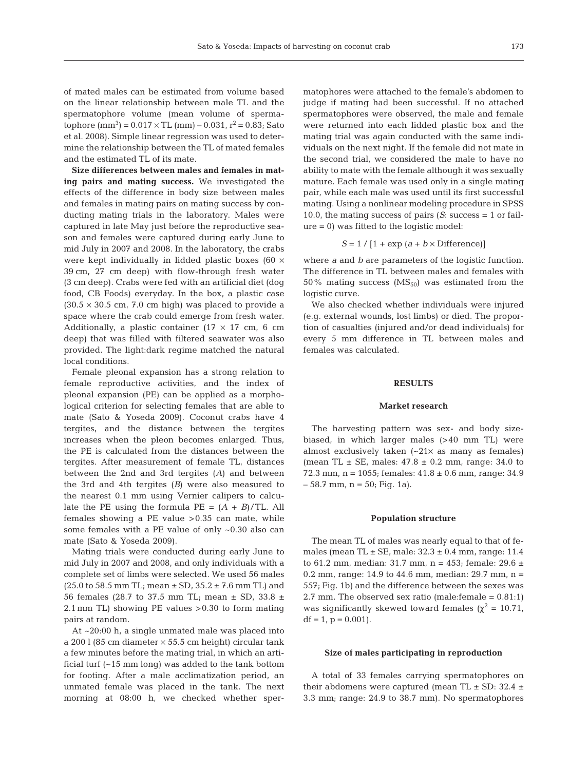of mated males can be estimated from volume based on the linear relationship between male TL and the spermatophore volume (mean volume of spermatophore  $\rm (mm^3)$  = 0.017  $\times$  TL  $\rm (mm)$  – 0.031,  $\rm r^2$  = 0.83; Sato et al. 2008). Simple linear regression was used to determine the relationship between the TL of mated females and the estimated TL of its mate.

**Size differences between males and females in mating pairs and mating success.** We investigated the effects of the difference in body size between males and females in mating pairs on mating success by conducting mating trials in the laboratory. Males were captured in late May just before the reproductive season and females were captured during early June to mid July in 2007 and 2008. In the laboratory, the crabs were kept individually in lidded plastic boxes (60 × 39 cm, 27 cm deep) with flow-through fresh water (3 cm deep). Crabs were fed with an artificial diet (dog food, CB Foods) everyday. In the box, a plastic case  $(30.5 \times 30.5 \text{ cm}, 7.0 \text{ cm} \text{ high})$  was placed to provide a space where the crab could emerge from fresh water. Additionally, a plastic container ( $17 \times 17$  cm, 6 cm deep) that was filled with filtered seawater was also provided. The light:dark regime matched the natural local conditions.

Female pleonal expansion has a strong relation to female reproductive activities, and the index of pleonal expansion (PE) can be applied as a morphological criterion for selecting females that are able to mate (Sato & Yoseda 2009). Coconut crabs have 4 tergites, and the distance between the tergites increases when the pleon becomes enlarged. Thus, the PE is calculated from the distances between the tergites. After measurement of female TL, distances between the 2nd and 3rd tergites (*A*) and between the 3rd and 4th tergites (*B*) were also measured to the nearest 0.1 mm using Vernier calipers to calculate the PE using the formula  $PE = (A + B)/TL$ . All females showing a PE value >0.35 can mate, while some females with a PE value of only ~0.30 also can mate (Sato & Yoseda 2009).

Mating trials were conducted during early June to mid July in 2007 and 2008, and only individuals with a complete set of limbs were selected. We used 56 males  $(25.0 \text{ to } 58.5 \text{ mm} \text{ TL}; \text{mean} \pm \text{SD}, 35.2 \pm 7.6 \text{ mm} \text{ TL})$  and 56 females (28.7 to 37.5 mm TL; mean  $\pm$  SD, 33.8  $\pm$ 2.1 mm TL) showing PE values >0.30 to form mating pairs at random.

At ~20:00 h, a single unmated male was placed into a 200 l (85 cm diameter  $\times$  55.5 cm height) circular tank a few minutes before the mating trial, in which an artificial turf (~15 mm long) was added to the tank bottom for footing. After a male acclimatization period, an unmated female was placed in the tank. The next morning at 08:00 h, we checked whether spermatophores were attached to the female's abdomen to judge if mating had been successful. If no attached spermatophores were observed, the male and female were returned into each lidded plastic box and the mating trial was again conducted with the same individuals on the next night. If the female did not mate in the second trial, we considered the male to have no ability to mate with the female although it was sexually mature. Each female was used only in a single mating pair, while each male was used until its first successful mating. Using a nonlinear modeling procedure in SPSS 10.0, the mating success of pairs (*S*: success = 1 or failure = 0) was fitted to the logistic model:

 $S = 1 / [1 + \exp(a + b \times \text{Difference})]$ 

where *a* and *b* are parameters of the logistic function. The difference in TL between males and females with 50% mating success  $(MS<sub>50</sub>)$  was estimated from the logistic curve.

We also checked whether individuals were injured (e.g. external wounds, lost limbs) or died. The proportion of casualties (injured and/or dead individuals) for every 5 mm difference in TL between males and females was calculated.

# **RESULTS**

## **Market research**

The harvesting pattern was sex- and body sizebiased, in which larger males (>40 mm TL) were almost exclusively taken  $(-21 \times$  as many as females) (mean TL  $\pm$  SE, males:  $47.8 \pm 0.2$  mm, range: 34.0 to 72.3 mm,  $n = 1055$ ; females:  $41.8 \pm 0.6$  mm, range: 34.9  $-58.7$  mm,  $n = 50$ ; Fig. 1a).

#### **Population structure**

The mean TL of males was nearly equal to that of females (mean TL  $\pm$  SE, male:  $32.3 \pm 0.4$  mm, range: 11.4 to 61.2 mm, median: 31.7 mm, n = 453; female: 29.6  $\pm$ 0.2 mm, range: 14.9 to 44.6 mm, median: 29.7 mm, n = 557; Fig. 1b) and the difference between the sexes was 2.7 mm. The observed sex ratio (male:female =  $0.81:1$ ) was significantly skewed toward females ( $\chi^2$  = 10.71,  $df = 1$ ,  $p = 0.001$ ).

#### **Size of males participating in reproduction**

A total of 33 females carrying spermatophores on their abdomens were captured (mean TL  $\pm$  SD: 32.4  $\pm$ 3.3 mm; range: 24.9 to 38.7 mm). No spermatophores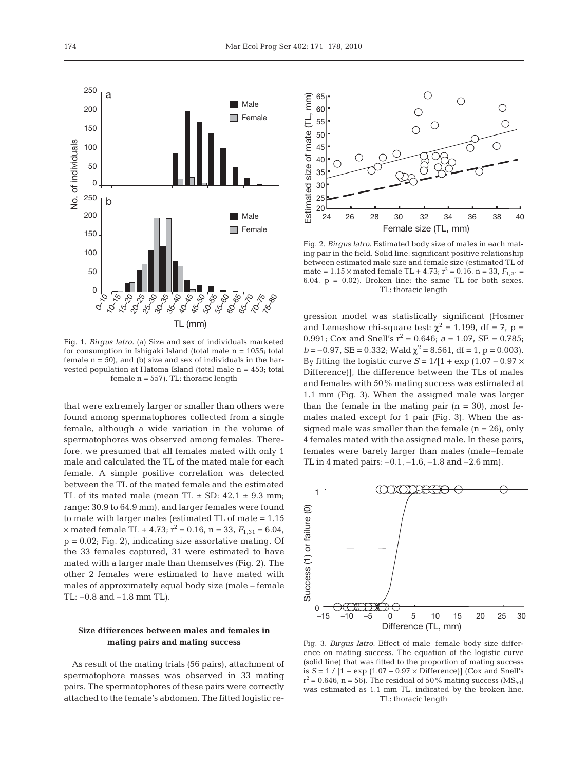

Fig. 1. *Birgus latro.* (a) Size and sex of individuals marketed for consumption in Ishigaki Island (total male n = 1055; total female  $n = 50$ , and (b) size and sex of individuals in the harvested population at Hatoma Island (total male n = 453; total female  $n = 557$ ). TL: thoracic length

that were extremely larger or smaller than others were found among spermatophores collected from a single female, although a wide variation in the volume of spermatophores was observed among females. Therefore, we presumed that all females mated with only 1 male and calculated the TL of the mated male for each female. A simple positive correlation was detected between the TL of the mated female and the estimated TL of its mated male (mean TL  $\pm$  SD: 42.1  $\pm$  9.3 mm; range: 30.9 to 64.9 mm), and larger females were found to mate with larger males (estimated TL of mate = 1.15  $\times$  mated female TL + 4.73;  $r^2 = 0.16$ , n = 33,  $F_{1,31} = 6.04$ ,  $p = 0.02$ ; Fig. 2), indicating size assortative mating. Of the 33 females captured, 31 were estimated to have mated with a larger male than themselves (Fig. 2). The other 2 females were estimated to have mated with males of approximately equal body size (male – female TL: –0.8 and –1.8 mm TL).

# **Size differences between males and females in mating pairs and mating success**

As result of the mating trials (56 pairs), attachment of spermatophore masses was observed in 33 mating pairs. The spermatophores of these pairs were correctly attached to the female's abdomen. The fitted logistic re-



Fig. 2. *Birgus latro.* Estimated body size of males in each mating pair in the field. Solid line: significant positive relationship between estimated male size and female size (estimated TL of mate =  $1.15 \times$  mated female TL +  $4.73$ ;  $r^2 = 0.16$ , n =  $33$ ,  $F_{1,31} =$ 6.04,  $p = 0.02$ ). Broken line: the same TL for both sexes. TL: thoracic length

gression model was statistically significant (Hosmer and Lemeshow chi-square test:  $\chi^2$  = 1.199, df = 7, p = 0.991; Cox and Snell's  $r^2 = 0.646$ ;  $a = 1.07$ , SE = 0.785;  $b = -0.97$ , SE = 0.332; Wald  $\chi^2 = 8.561$ , df = 1, p = 0.003). By fitting the logistic curve  $S = 1/[1 + \exp(1.07 - 0.97 \times$ Difference)], the difference between the TLs of males and females with 50% mating success was estimated at 1.1 mm (Fig. 3). When the assigned male was larger than the female in the mating pair  $(n = 30)$ , most females mated except for 1 pair (Fig. 3). When the assigned male was smaller than the female  $(n = 26)$ , only 4 females mated with the assigned male. In these pairs, females were barely larger than males (male–female TL in 4 mated pairs:  $-0.1$ ,  $-1.6$ ,  $-1.8$  and  $-2.6$  mm).



Fig. 3. *Birgus latro.* Effect of male–female body size difference on mating success. The equation of the logistic curve (solid line) that was fitted to the proportion of mating success is  $S = 1 / [1 + \exp(1.07 - 0.97 \times \text{Difference})]$  (Cox and Snell's  $r^2 = 0.646$ , n = 56). The residual of 50% mating success (MS<sub>50</sub>) was estimated as 1.1 mm TL, indicated by the broken line. TL: thoracic length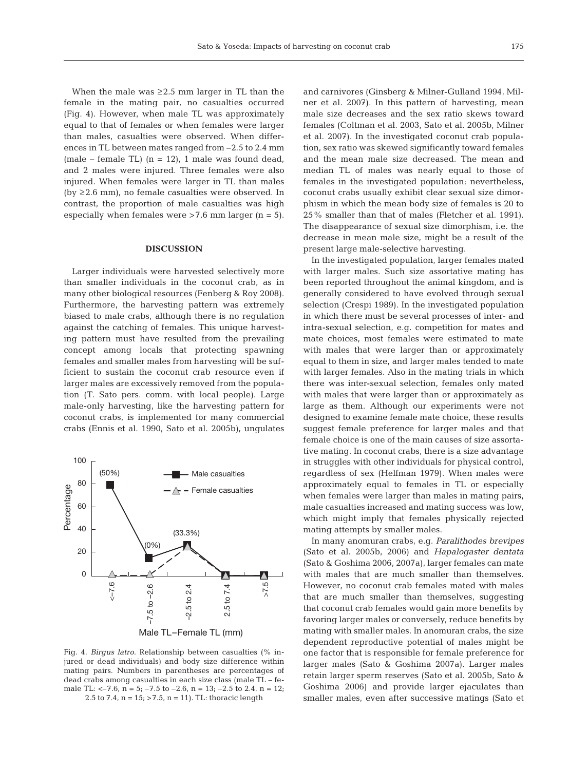When the male was  $\geq 2.5$  mm larger in TL than the female in the mating pair, no casualties occurred (Fig. 4). However, when male TL was approximately equal to that of females or when females were larger than males, casualties were observed. When differences in TL between mates ranged from –2.5 to 2.4 mm (male – female TL)  $(n = 12)$ , 1 male was found dead, and 2 males were injured. Three females were also injured. When females were larger in TL than males (by ≥2.6 mm), no female casualties were observed. In contrast, the proportion of male casualties was high especially when females were  $>7.6$  mm larger (n = 5).

## **DISCUSSION**

Larger individuals were harvested selectively more than smaller individuals in the coconut crab, as in many other biological resources (Fenberg & Roy 2008). Furthermore, the harvesting pattern was extremely biased to male crabs, although there is no regulation against the catching of females. This unique harvesting pattern must have resulted from the prevailing concept among locals that protecting spawning females and smaller males from harvesting will be sufficient to sustain the coconut crab resource even if larger males are excessively removed from the population (T. Sato pers. comm. with local people). Large male-only harvesting, like the harvesting pattern for coconut crabs, is implemented for many commercial crabs (Ennis et al. 1990, Sato et al. 2005b), ungulates



Fig. 4. *Birgus latro.* Relationship between casualties (% injured or dead individuals) and body size difference within mating pairs. Numbers in parentheses are percentages of dead crabs among casualties in each size class (male TL – female TL:  $<-7.6$ ,  $n=5$ ;  $-7.5$  to  $-2.6$ ,  $n=13$ ;  $-2.5$  to  $2.4$ ,  $n=12$ ; 2.5 to 7.4,  $n = 15$ ;  $> 7.5$ ,  $n = 11$ ). TL: thoracic length

and carnivores (Ginsberg & Milner-Gulland 1994, Milner et al. 2007). In this pattern of harvesting, mean male size decreases and the sex ratio skews toward females (Coltman et al. 2003, Sato et al. 2005b, Milner et al. 2007). In the investigated coconut crab population, sex ratio was skewed significantly toward females and the mean male size decreased. The mean and median TL of males was nearly equal to those of females in the investigated population; nevertheless, coconut crabs usually exhibit clear sexual size dimorphism in which the mean body size of females is 20 to 25% smaller than that of males (Fletcher et al. 1991). The disappearance of sexual size dimorphism, i.e. the decrease in mean male size, might be a result of the present large male-selective harvesting.

In the investigated population, larger females mated with larger males. Such size assortative mating has been reported throughout the animal kingdom, and is generally considered to have evolved through sexual selection (Crespi 1989). In the investigated population in which there must be several processes of inter- and intra-sexual selection, e.g. competition for mates and mate choices, most females were estimated to mate with males that were larger than or approximately equal to them in size, and larger males tended to mate with larger females. Also in the mating trials in which there was inter-sexual selection, females only mated with males that were larger than or approximately as large as them. Although our experiments were not designed to examine female mate choice, these results suggest female preference for larger males and that female choice is one of the main causes of size assortative mating. In coconut crabs, there is a size advantage in struggles with other individuals for physical control, regardless of sex (Helfman 1979). When males were approximately equal to females in TL or especially when females were larger than males in mating pairs, male casualties increased and mating success was low, which might imply that females physically rejected mating attempts by smaller males.

In many anomuran crabs, e.g. *Paralithodes brevipes* (Sato et al. 2005b, 2006) and *Hapalogaster dentata* (Sato & Goshima 2006, 2007a), larger females can mate with males that are much smaller than themselves. However, no coconut crab females mated with males that are much smaller than themselves, suggesting that coconut crab females would gain more benefits by favoring larger males or conversely, reduce benefits by mating with smaller males. In anomuran crabs, the size dependent reproductive potential of males might be one factor that is responsible for female preference for larger males (Sato & Goshima 2007a). Larger males retain larger sperm reserves (Sato et al. 2005b, Sato & Goshima 2006) and provide larger ejaculates than smaller males, even after successive matings (Sato et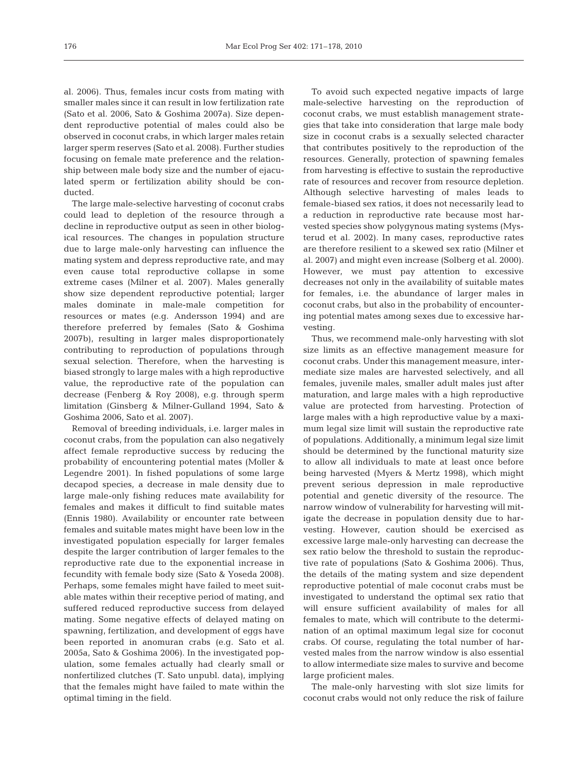al. 2006). Thus, females incur costs from mating with smaller males since it can result in low fertilization rate (Sato et al. 2006, Sato & Goshima 2007a). Size dependent reproductive potential of males could also be observed in coconut crabs, in which larger males retain larger sperm reserves (Sato et al. 2008). Further studies focusing on female mate preference and the relationship between male body size and the number of ejaculated sperm or fertilization ability should be conducted.

The large male-selective harvesting of coconut crabs could lead to depletion of the resource through a decline in reproductive output as seen in other biological resources. The changes in population structure due to large male-only harvesting can influence the mating system and depress reproductive rate, and may even cause total reproductive collapse in some extreme cases (Milner et al. 2007). Males generally show size dependent reproductive potential; larger males dominate in male-male competition for resources or mates (e.g. Andersson 1994) and are therefore preferred by females (Sato & Goshima 2007b), resulting in larger males disproportionately contributing to reproduction of populations through sexual selection. Therefore, when the harvesting is biased strongly to large males with a high reproductive value, the reproductive rate of the population can decrease (Fenberg & Roy 2008), e.g. through sperm limitation (Ginsberg & Milner-Gulland 1994, Sato & Goshima 2006, Sato et al. 2007).

Removal of breeding individuals, i.e. larger males in coconut crabs, from the population can also negatively affect female reproductive success by reducing the probability of encountering potential mates (Moller & Legendre 2001). In fished populations of some large decapod species, a decrease in male density due to large male-only fishing reduces mate availability for females and makes it difficult to find suitable mates (Ennis 1980). Availability or encounter rate between females and suitable mates might have been low in the investigated population especially for larger females despite the larger contribution of larger females to the reproductive rate due to the exponential increase in fecundity with female body size (Sato & Yoseda 2008). Perhaps, some females might have failed to meet suitable mates within their receptive period of mating, and suffered reduced reproductive success from delayed mating. Some negative effects of delayed mating on spawning, fertilization, and development of eggs have been reported in anomuran crabs (e.g. Sato et al. 2005a, Sato & Goshima 2006). In the investigated population, some females actually had clearly small or nonfertilized clutches (T. Sato unpubl. data), implying that the females might have failed to mate within the optimal timing in the field.

To avoid such expected negative impacts of large male-selective harvesting on the reproduction of coconut crabs, we must establish management strategies that take into consideration that large male body size in coconut crabs is a sexually selected character that contributes positively to the reproduction of the resources. Generally, protection of spawning females from harvesting is effective to sustain the reproductive rate of resources and recover from resource depletion. Although selective harvesting of males leads to female-biased sex ratios, it does not necessarily lead to a reduction in reproductive rate because most harvested species show polygynous mating systems (Mysterud et al. 2002). In many cases, reproductive rates are therefore resilient to a skewed sex ratio (Milner et al. 2007) and might even increase (Solberg et al. 2000). However, we must pay attention to excessive decreases not only in the availability of suitable mates for females, i.e. the abundance of larger males in coconut crabs, but also in the probability of encountering potential mates among sexes due to excessive harvesting.

Thus, we recommend male-only harvesting with slot size limits as an effective management measure for coconut crabs. Under this management measure, intermediate size males are harvested selectively, and all females, juvenile males, smaller adult males just after maturation, and large males with a high reproductive value are protected from harvesting. Protection of large males with a high reproductive value by a maximum legal size limit will sustain the reproductive rate of populations. Additionally, a minimum legal size limit should be determined by the functional maturity size to allow all individuals to mate at least once before being harvested (Myers & Mertz 1998), which might prevent serious depression in male reproductive potential and genetic diversity of the resource. The narrow window of vulnerability for harvesting will mitigate the decrease in population density due to harvesting. However, caution should be exercised as excessive large male-only harvesting can decrease the sex ratio below the threshold to sustain the reproductive rate of populations (Sato & Goshima 2006). Thus, the details of the mating system and size dependent reproductive potential of male coconut crabs must be investigated to understand the optimal sex ratio that will ensure sufficient availability of males for all females to mate, which will contribute to the determination of an optimal maximum legal size for coconut crabs. Of course, regulating the total number of harvested males from the narrow window is also essential to allow intermediate size males to survive and become large proficient males.

The male-only harvesting with slot size limits for coconut crabs would not only reduce the risk of failure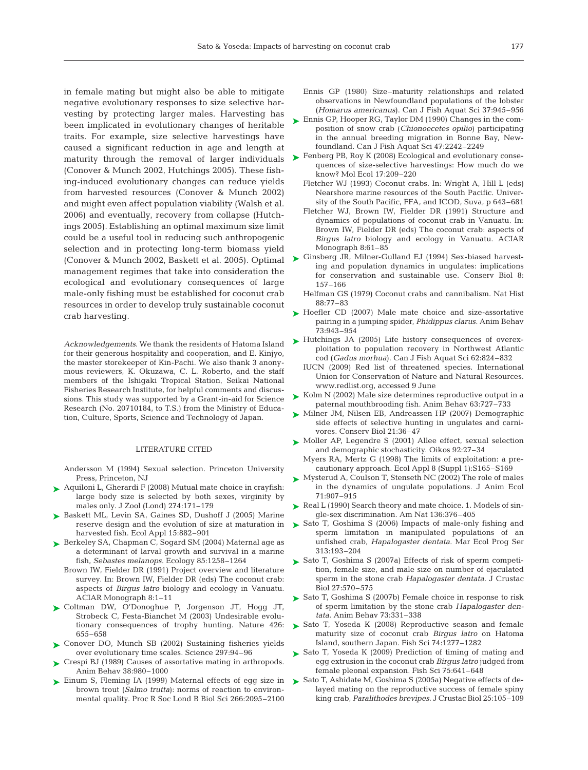in female mating but might also be able to mitigate negative evolutionary responses to size selective harvesting by protecting larger males. Harvesting has been implicated in evolutionary changes of heritable traits. For example, size selective harvestings have caused a significant reduction in age and length at maturity through the removal of larger individuals (Conover & Munch 2002, Hutchings 2005). These fishing-induced evolutionary changes can reduce yields from harvested resources (Conover & Munch 2002) and might even affect population viability (Walsh et al. 2006) and eventually, recovery from collapse (Hutchings 2005). Establishing an optimal maximum size limit could be a useful tool in reducing such anthropogenic selection and in protecting long-term biomass yield management regimes that take into consideration the ecological and evolutionary consequences of large male-only fishing must be established for coconut crab resources in order to develop truly sustainable coconut crab harvesting.

*Acknowledgements*. We thank the residents of Hatoma Island for their generous hospitality and cooperation, and E. Kinjyo, the master storekeeper of Kin-Pachi. We also thank 3 anonymous reviewers, K. Okuzawa, C. L. Roberto, and the staff members of the Ishigaki Tropical Station, Seikai National Fisheries Research Institute, for helpful comments and discussions. This study was supported by a Grant-in-aid for Science Research (No. 20710184, to T.S.) from the Ministry of Education, Culture, Sports, Science and Technology of Japan.

## LITERATURE CITED

Andersson M (1994) Sexual selection. Princeton University Press, Princeton, NJ

- Aquiloni L, Gherardi F (2008) Mutual mate choice in crayfish: ➤ large body size is selected by both sexes, virginity by males only. J Zool (Lond) 274:171–179
- ► Baskett ML, Levin SA, Gaines SD, Dushoff J (2005) Marine reserve design and the evolution of size at maturation in harvested fish. Ecol Appl 15:882–901
- ▶ Berkeley SA, Chapman C, Sogard SM (2004) Maternal age as a determinant of larval growth and survival in a marine fish, *Sebastes melanops.* Ecology 85:1258–1264
	- Brown IW, Fielder DR (1991) Project overview and literature survey. In: Brown IW, Fielder DR (eds) The coconut crab: aspects of *Birgus latro* biology and ecology in Vanuatu. ACIAR Monograph 8:1–11
- Coltman DW, O'Donoghue P, Jorgenson JT, Hogg JT, ➤ Strobeck C, Festa-Bianchet M (2003) Undesirable evolutionary consequences of trophy hunting. Nature 426: 655–658
- ► Conover DO, Munch SB (2002) Sustaining fisheries yields over evolutionary time scales. Science 297:94–96
- Crespi BJ (1989) Causes of assortative mating in arthropods. ➤ Anim Behav 38:980–1000
- ► Einum S, Fleming IA (1999) Maternal effects of egg size in brown trout (*Salmo trutta*): norms of reaction to environmental quality. Proc R Soc Lond B Biol Sci 266:2095–2100
- Ennis GP (1980) Size–maturity relationships and related observations in Newfoundland populations of the lobster (*Homarus americanus*). Can J Fish Aquat Sci 37:945–956
- ► Ennis GP, Hooper RG, Taylor DM (1990) Changes in the composition of snow crab (*Chionoecetes opilio*) participating in the annual breeding migration in Bonne Bay, Newfoundland. Can J Fish Aquat Sci 47:2242–2249
- ► Fenberg PB, Roy K (2008) Ecological and evolutionary consequences of size-selective harvestings: How much do we know? Mol Ecol 17:209–220
	- Fletcher WJ (1993) Coconut crabs. In: Wright A, Hill L (eds) Nearshore marine resources of the South Pacific. University of the South Pacific, FFA, and ICOD, Suva, p 643–681
	- Fletcher WJ, Brown IW, Fielder DR (1991) Structure and dynamics of populations of coconut crab in Vanuatu. In: Brown IW, Fielder DR (eds) The coconut crab: aspects of *Birgus latro* biology and ecology in Vanuatu. ACIAR Monograph 8:61–85
- Conover & Munch 2002, Baskett et al. 2005). Optimal → Ginsberg JR, Milner-Gulland EJ (1994) Sex-biased harvesting and population dynamics in ungulates: implications for conservation and sustainable use. Conserv Biol 8: 157–166
	- Helfman GS (1979) Coconut crabs and cannibalism. Nat Hist 88:77–83
	- ► Hoefler CD (2007) Male mate choice and size-assortative pairing in a jumping spider, *Phidippus clarus.* Anim Behav 73:943–954
	- ▶ Hutchings JA (2005) Life history consequences of overexploitation to population recovery in Northwest Atlantic cod (*Gadus morhua*). Can J Fish Aquat Sci 62:824–832
		- IUCN (2009) Red list of threatened species. International Union for Conservation of Nature and Natural Resources. www.redlist.org, accessed 9 June
	- ► Kolm N (2002) Male size determines reproductive output in a paternal mouthbrooding fish. Anim Behav 63:727–733
	- ► Milner JM, Nilsen EB, Andreassen HP (2007) Demographic side effects of selective hunting in ungulates and carnivores. Conserv Biol 21:36–47
	- ► Moller AP, Legendre S (2001) Allee effect, sexual selection and demographic stochasticity. Oikos 92:27–34
	- Myers RA, Mertz G (1998) The limits of exploitation: a precautionary approach. Ecol Appl 8 (Suppl 1):S165–S169
	- ► Mysterud A, Coulson T, Stenseth NC (2002) The role of males in the dynamics of ungulate populations. J Anim Ecol 71:907–915
	- ▶ Real L (1990) Search theory and mate choice. 1. Models of single-sex discrimination. Am Nat 136:376–405
	- ► Sato T, Goshima S (2006) Impacts of male-only fishing and sperm limitation in manipulated populations of an unfished crab, *Hapalogaster dentata.* Mar Ecol Prog Ser 313:193–204
	- ► Sato T, Goshima S (2007a) Effects of risk of sperm competition, female size, and male size on number of ejaculated sperm in the stone crab *Hapalogaster dentata.* J Crustac Biol 27:570–575
	- ► Sato T, Goshima S (2007b) Female choice in response to risk of sperm limitation by the stone crab *Hapalogaster dentata.* Anim Behav 73:331–338
	- ► Sato T, Yoseda K (2008) Reproductive season and female maturity size of coconut crab *Birgus latro* on Hatoma Island, southern Japan. Fish Sci 74:1277–1282
	- ► Sato T, Yoseda K (2009) Prediction of timing of mating and egg extrusion in the coconut crab *Birgus latro* judged from female pleonal expansion. Fish Sci 75:641–648
	- ► Sato T, Ashidate M, Goshima S (2005a) Negative effects of delayed mating on the reproductive success of female spiny king crab, *Paralithodes brevipes.* J Crustac Biol 25:105–109